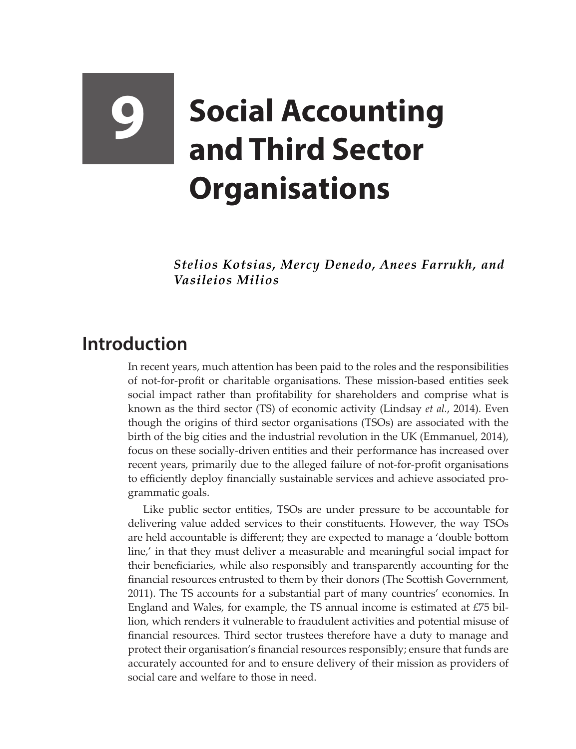## **9 Social Accounting and Third Sector Organisations**

*Stelios Kotsias, Mercy Denedo, Anees Farrukh, and Vasileios Milios*

## **Introduction**

In recent years, much attention has been paid to the roles and the responsibilities of not-for-profit or charitable organisations. These mission-based entities seek social impact rather than profitability for shareholders and comprise what is known as the third sector (TS) of economic activity (Lindsay *et al.*, 2014). Even though the origins of third sector organisations (TSOs) are associated with the birth of the big cities and the industrial revolution in the UK (Emmanuel, 2014), focus on these socially-driven entities and their performance has increased over recent years, primarily due to the alleged failure of not-for-profit organisations to efficiently deploy financially sustainable services and achieve associated programmatic goals.

Like public sector entities, TSOs are under pressure to be accountable for delivering value added services to their constituents. However, the way TSOs are held accountable is different; they are expected to manage a 'double bottom line,' in that they must deliver a measurable and meaningful social impact for their beneficiaries, while also responsibly and transparently accounting for the financial resources entrusted to them by their donors (The Scottish Government, 2011). The TS accounts for a substantial part of many countries' economies. In England and Wales, for example, the TS annual income is estimated at  $E75$  billion, which renders it vulnerable to fraudulent activities and potential misuse of financial resources. Third sector trustees therefore have a duty to manage and protect their organisation's financial resources responsibly; ensure that funds are accurately accounted for and to ensure delivery of their mission as providers of social care and welfare to those in need.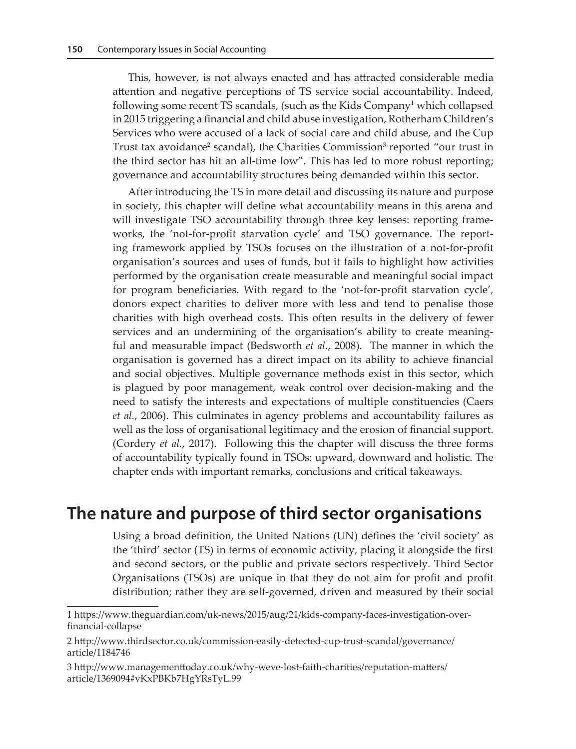This, however, is not always enacted and has attracted considerable media attention and negative perceptions of TS service social accountability. Indeed, following some recent TS scandals, (such as the Kids Company $^1$  which collapsed in 2015 triggering a financial and child abuse investigation, Rotherham Children's Services who were accused of a lack of social care and child abuse, and the Cup Trust tax avoidance<sup>2</sup> scandal), the Charities Commission<sup>3</sup> reported "our trust in the third sector has hit an all-time low". This has led to more robust reporting; governance and accountability structures being demanded within this sector.

After introducing the TS in more detail and discussing its nature and purpose in society, this chapter will define what accountability means in this arena and will investigate TSO accountability through three key lenses: reporting frameworks, the 'not-for-profit starvation cycle' and TSO governance. The reporting framework applied by TSOs focuses on the illustration of a not-for-profit organisation's sources and uses of funds, but it fails to highlight how activities performed by the organisation create measurable and meaningful social impact for program beneficiaries. With regard to the 'not-for-profit starvation cycle', donors expect charities to deliver more with less and tend to penalise those charities with high overhead costs. This often results in the delivery of fewer services and an undermining of the organisation's ability to create meaningful and measurable impact (Bedsworth *et al.*, 2008). The manner in which the organisation is governed has a direct impact on its ability to achieve financial and social objectives. Multiple governance methods exist in this sector, which is plagued by poor management, weak control over decision-making and the need to satisfy the interests and expectations of multiple constituencies (Caers *et al.*, 2006). This culminates in agency problems and accountability failures as well as the loss of organisational legitimacy and the erosion of financial support. (Cordery *et al.*, 2017). Following this the chapter will discuss the three forms of accountability typically found in TSOs: upward, downward and holistic. The chapter ends with important remarks, conclusions and critical takeaways.

## **The nature and purpose of third sector organisations**

Using a broad definition, the United Nations (UN) defines the 'civil society' as the 'third' sector (TS) in terms of economic activity, placing it alongside the first and second sectors, or the public and private sectors respectively. Third Sector Organisations (TSOs) are unique in that they do not aim for profit and profit distribution; rather they are self-governed, driven and measured by their social

<sup>1</sup> https://www.theguardian.com/uk-news/2015/aug/21/kids-company-faces-investigation-overfinancial-collapse

<sup>2</sup> http://www.thirdsector.co.uk/commission-easily-detected-cup-trust-scandal/governance/ article/1184746

<sup>3</sup> http://www.managementtoday.co.uk/why-weve-lost-faith-charities/reputation-matters/ article/1369094#vKxPBKb7HgYRsTyL.99